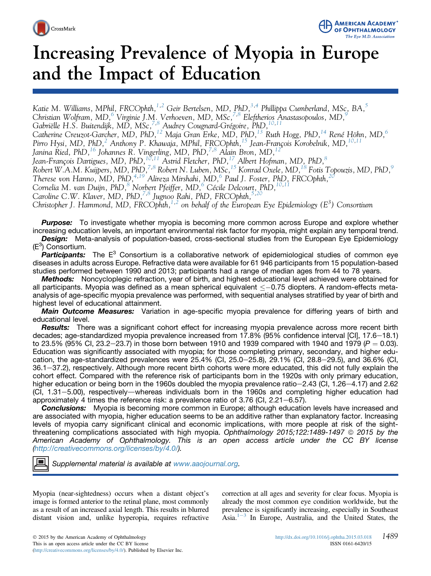



# Increasing Prevalence of Myopia in Europe and the Impact of Education

Katie M. Williams, MPhil, FRCOphth,<sup>[1](#page-8-0),[2](#page-8-0)</sup> Geir Bertelsen, MD, PhD,<sup>[3](#page-8-0),[4](#page-8-0)</sup> Phillippa Cumberland, MSc, BA,<sup>[5](#page-8-0)</sup> Christian Wolfram, MD,<sup>[6](#page-8-0)</sup> Virginie J.M. Verhoeven, MD, MSc,<sup>[7](#page-8-0),[8](#page-8-0)</sup> Eleftherios Anastasopoulos, MD,<sup>9</sup> Gabriëlle H.S. Buitendijk, MD, MSc, <sup>7,[8](#page-8-0)</sup> Audrey Cougnard-Grégoire, PhD, <sup>10,[11](#page-8-0)</sup> Catherine Creuzot-Garcher, MD, PhD,<sup>12</sup> Maja Gran Erke, MD, PhD,<sup>[13](#page-8-0)</sup> Ruth Hogg, PhD,<sup>[14](#page-8-0)</sup> René Höhn, MD,<sup>[6](#page-8-0)</sup> Pirro Hysi, MD, PhD,<sup>[2](#page-8-0)</sup> Anthony P. Khawaja, MPhil, FRCOphth,<sup>[15](#page-8-0)</sup> Jean-François Korobelnik, MD,<sup>1</sup> Janina Ried, PhD,<sup>[16](#page-8-0)</sup> Johannes R. Vingerling, MD, PhD,<sup>7,8</sup> Alain Bron, MD,<sup>1</sup> Jean-François Dartigues, MD, PhD,  $^{10,11}$  Astrid Fletcher, PhD,  $^{17}$  $^{17}$  $^{17}$  Albert Hofman, MD, PhD,  $^8$ Robert W.A.M. Kuijpers, MD, PhD,  $^{7,8}$  Robert N. Luben, MSc,  $^{15}$  $^{15}$  $^{15}$  Konrad Oxele, MD,  $^{18}$  Fotis Topouzis, MD, PhD,  $^9$ Therese von Hanno, MD, PhD,<sup>[4,19](#page-8-0)</sup> Alireza Mirshahi, MD,<sup>6</sup> Paul J. Foster, PhD, FRCOphth,<sup>[20](#page-8-0)</sup> Cornelia M. van Duijn, PhD,<sup>8</sup> Norbert Pfeiffer, MD,<sup>6</sup> Cécile Delcourt, PhD,<sup>10,1</sup>1 Caroline C.W. Klaver, MD, PhD,<sup>7,8</sup> Jugnoo Rahi, PhD, FRCOphth,<sup>[5](#page-8-0),[20](#page-8-0)</sup> Christopher J. Hammond, MD, FRCOphth,<sup>[1,2](#page-8-0)</sup> on behalf of the European Eye Epidemiology (E<sup>3</sup>) Consortium **Purpose:** To investigate whether myopia is becoming more common across Europe and explore whether

increasing education levels, an important environmental risk factor for myopia, might explain any temporal trend. **Design:** Meta-analysis of population-based, cross-sectional studies from the European Eye Epidemiology  $(E^3)$  Consortium.

**Participants:** The  $E^3$  Consortium is a collaborative network of epidemiological studies of common eye diseases in adults across Europe. Refractive data were available for 61 946 participants from 15 population-based studies performed between 1990 and 2013; participants had a range of median ages from 44 to 78 years.

Methods: Noncycloplegic refraction, year of birth, and highest educational level achieved were obtained for all participants. Myopia was defined as a mean spherical equivalent  $\leq -0.75$  diopters. A random-effects metaanalysis of age-specific myopia prevalence was performed, with sequential analyses stratified by year of birth and highest level of educational attainment.

Main Outcome Measures: Variation in age-specific myopia prevalence for differing years of birth and educational level.

**Results:** There was a significant cohort effect for increasing myopia prevalence across more recent birth decades; age-standardized myopia prevalence increased from 17.8% (95% confidence interval [CI], 17.6–18.1) to 23.5% (95% CI, 23.2–23.7) in those born between 1910 and 1939 compared with 1940 and 1979 ( $P = 0.03$ ). Education was significantly associated with myopia; for those completing primary, secondary, and higher education, the age-standardized prevalences were  $25.4\%$  (Cl,  $25.0-25.8$ ),  $29.1\%$  (Cl,  $28.8-29.5$ ), and  $36.6\%$  (Cl, 36.1–37.2), respectively. Although more recent birth cohorts were more educated, this did not fully explain the cohort effect. Compared with the reference risk of participants born in the 1920s with only primary education, higher education or being born in the 1960s doubled the myopia prevalence ratio-2.43 (CI, 1.26-4.17) and 2.62  $(CI, 1.31-5.00)$ , respectively—whereas individuals born in the 1960s and completing higher education had approximately 4 times the reference risk: a prevalence ratio of  $3.76$  (Cl,  $2.21-6.57$ ).

**Conclusions:** Myopia is becoming more common in Europe; although education levels have increased and are associated with myopia, higher education seems to be an additive rather than explanatory factor. Increasing levels of myopia carry significant clinical and economic implications, with more people at risk of the sightthreatening complications associated with high myopia. Ophthalmology 2015;122:1489-1497  $\circ$  2015 by the American Academy of Ophthalmology. This is an open access article under the CC BY license ([http://creativecommons.org/licenses/by/4.0/\)](http://creativecommons.org/licenses/by/4.�0/).

Supplemental material is available at <www.aaojournal.org>.

Myopia (near-sightedness) occurs when a distant object's image is formed anterior to the retinal plane, most commonly as a result of an increased axial length. This results in blurred distant vision and, unlike hyperopia, requires refractive correction at all ages and severity for clear focus. Myopia is already the most common eye condition worldwide, but the prevalence is significantly increasing, especially in Southeast Asia. $1^{-3}$  $1^{-3}$  $1^{-3}$  $1^{-3}$  In Europe, Australia, and the United States, the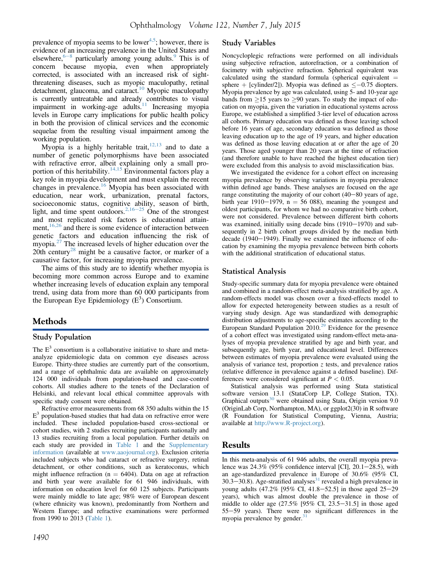prevalence of myopia seems to be lower<sup>4,5</sup>; however, there is evidence of an increasing prevalence in the United States and elsewhere,  $6-8$  $6-8$  particularly among young adults.<sup>[9](#page-7-0)</sup> This is of concern because myopia, even when appropriately corrected, is associated with an increased risk of sightthreatening diseases, such as myopic maculopathy, retinal detachment, glaucoma, and cataract.<sup>[10](#page-7-0)</sup> Myopic maculopathy is currently untreatable and already contributes to visual impairment in working-age adults.<sup>11</sup> Increasing myopia levels in Europe carry implications for public health policy in both the provision of clinical services and the economic sequelae from the resulting visual impairment among the working population.

Myopia is a highly heritable trait,  $12,13$  and to date a number of genetic polymorphisms have been associated with refractive error, albeit explaining only a small pro-portion of this heritability.<sup>[14,15](#page-7-0)</sup> Environmental factors play a key role in myopia development and must explain the recent changes in prevalence.[16](#page-7-0) Myopia has been associated with education, near work, urbanization, prenatal factors, socioeconomic status, cognitive ability, season of birth, light, and time spent outdoors.<sup>[2,16](#page-7-0)–[25](#page-7-0)</sup> One of the strongest and most replicated risk factors is educational attain-ment,<sup>[16,26](#page-7-0)</sup> and there is some evidence of interaction between genetic factors and education influencing the risk of myopia.<sup>[27](#page-7-0)</sup> The increased levels of higher education over the 20th century<sup>[28](#page-7-0)</sup> might be a causative factor, or marker of a causative factor, for increasing myopia prevalence.

The aims of this study are to identify whether myopia is becoming more common across Europe and to examine whether increasing levels of education explain any temporal trend, using data from more than 60 000 participants from the European Eye Epidemiology  $(E^3)$  Consortium.

## Methods

#### Study Population

The  $E<sup>3</sup>$  consortium is a collaborative initiative to share and metaanalyze epidemiologic data on common eye diseases across Europe. Thirty-three studies are currently part of the consortium, and a range of ophthalmic data are available on approximately 124 000 individuals from population-based and case-control cohorts. All studies adhere to the tenets of the Declaration of Helsinki, and relevant local ethical committee approvals with specific study consent were obtained.

Refractive error measurements from 68 350 adults within the 15  $E<sup>3</sup>$  population-based studies that had data on refractive error were included. These included population-based cross-sectional or cohort studies, with 2 studies recruiting participants nationally and 13 studies recruiting from a local population. Further details on each study are provided in [Table 1](#page-2-0) and the Supplementary information (available at [www.aaojournal.org](http://www.aaojournal.org)). Exclusion criteria included subjects who had cataract or refractive surgery, retinal detachment, or other conditions, such as keratoconus, which might influence refraction ( $n = 6404$ ). Data on age at refraction and birth year were available for 61 946 individuals, with information on education level for 60 125 subjects. Participants were mainly middle to late age; 98% were of European descent (where ethnicity was known), predominantly from Northern and Western Europe; and refractive examinations were performed from 1990 to 2013 [\(Table 1\)](#page-2-0).

## Study Variables

Noncycloplegic refractions were performed on all individuals using subjective refraction, autorefraction, or a combination of focimetry with subjective refraction. Spherical equivalent was calculated using the standard formula (spherical equivalent  $=$ sphere + [cylinder/2]). Myopia was defined as  $\leq -0.75$  diopters. Myopia prevalence by age was calculated, using 5- and 10-year age bands from  $\geq$ 15 years to  $\geq$ 90 years. To study the impact of education on myopia, given the variation in educational systems across Europe, we established a simplified 3-tier level of education across all cohorts. Primary education was defined as those leaving school before 16 years of age, secondary education was defined as those leaving education up to the age of 19 years, and higher education was defined as those leaving education at or after the age of 20 years. Those aged younger than 20 years at the time of refraction (and therefore unable to have reached the highest education tier) were excluded from this analysis to avoid misclassification bias.

We investigated the evidence for a cohort effect on increasing myopia prevalence by observing variations in myopia prevalence within defined age bands. These analyses are focused on the age range constituting the majority of our cohort  $(40-80)$  years of age, birth year 1910–1979,  $n = 56$  088), meaning the youngest and oldest participants, for whom we had no comparative birth cohort, were not considered. Prevalence between different birth cohorts was examined, initially using decade bins  $(1910-1970)$  and subsequently in 2 birth cohort groups divided by the median birth decade (1940 $-$ 1949). Finally we examined the influence of education by examining the myopia prevalence between birth cohorts with the additional stratification of educational status.

#### Statistical Analysis

Study-specific summary data for myopia prevalence were obtained and combined in a random-effect meta-analysis stratified by age. A random-effects model was chosen over a fixed-effects model to allow for expected heterogeneity between studies as a result of varying study design. Age was standardized with demographic distribution adjustments to age-specific estimates according to the European Standard Population  $2010<sup>29</sup>$  $2010<sup>29</sup>$  $2010<sup>29</sup>$  Evidence for the presence of a cohort effect was investigated using random-effect meta-analyses of myopia prevalence stratified by age and birth year, and subsequently age, birth year, and educational level. Differences between estimates of myopia prevalence were evaluated using the analysis of variance test, proportion  $z$  tests, and prevalence ratios (relative difference in prevalence against a defined baseline). Differences were considered significant at  $P < 0.05$ .

Statistical analysis was performed using Stata statistical software version 13.1 (StataCorp LP, College Station, TX). Graphical outputs $30$  were obtained using Stata, Origin version 9.0 (OriginLab Corp, Northampton, MA), or ggplot2(30) in R software (R Foundation for Statistical Computing, Vienna, Austria; available at [http://www.R-project.org\)](http://www.R-project.org).

### Results

In this meta-analysis of 61 946 adults, the overall myopia prevalence was  $24.3\%$  (95% confidence interval [CI], 20.1–28.5), with an age-standardized prevalence in Europe of 30.6% (95% CI,  $30.3-30.8$ ). Age-stratified analyses<sup>[31](#page-7-0)</sup> revealed a high prevalence in young adults  $(47.2\% \; [95\% \; CI, 41.8-52.5]$  in those aged  $25-29$ years), which was almost double the prevalence in those of middle to older age  $(27.5\% \, [95\% \, Cl, 23.5-31.5]$  in those aged 55-59 years). There were no significant differences in the myopia prevalence by gender. $31$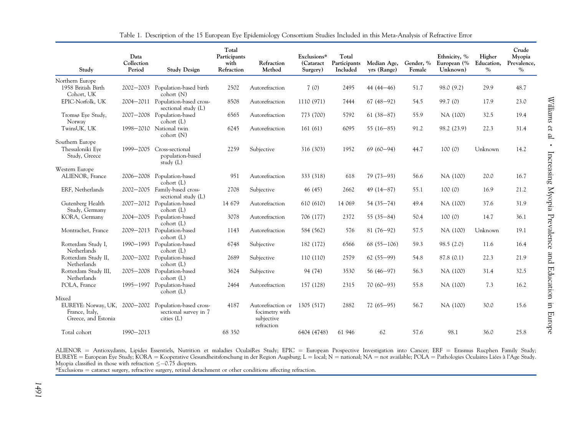<span id="page-2-0"></span>

| Study                                                        | Data<br>Collection<br>Period | <b>Study Design</b>                                                      | Total<br>Participants<br>with<br>Refraction | Refraction<br>Method                              | Exclusions*<br>(Cataract<br>Surgery) | Total<br>Participants<br>Included | Median Age,<br>yrs (Range) | Gender, %<br>Female | Ethnicity, %<br>European (%<br>Unknown) | Higher<br>Education,<br>$\%$ | Crude<br>Myopia<br>Prevalence,<br>$\%$ |
|--------------------------------------------------------------|------------------------------|--------------------------------------------------------------------------|---------------------------------------------|---------------------------------------------------|--------------------------------------|-----------------------------------|----------------------------|---------------------|-----------------------------------------|------------------------------|----------------------------------------|
| Northern Europe                                              |                              |                                                                          |                                             |                                                   |                                      |                                   |                            |                     |                                         |                              |                                        |
| 1958 British Birth<br>Cohort, UK                             |                              | 2002-2003 Population-based birth<br>cohort (N)                           | 2502                                        | Autorefraction                                    | 7(0)                                 | 2495                              | $44(44 - 46)$              | 51.7                | 98.0 (9.2)                              | 29.9                         | 48.7                                   |
| EPIC-Norfolk, UK                                             |                              | 2004-2011 Population-based cross-<br>sectional study (L)                 | 8508                                        | Autorefraction                                    | 1110 (971)                           | 7444                              | $67(48-92)$                | 54.5                | 99.7(0)                                 | 17.9                         | 23.0                                   |
| Tromsø Eye Study,<br>Norway                                  |                              | 2007-2008 Population-based<br>cohort (L)                                 | 6565                                        | Autorefraction                                    | 773 (700)                            | 5792                              | $61(38-87)$                | 55.9                | NA (100)                                | 32.5                         | 19.4                                   |
| TwinsUK, UK                                                  |                              | 1998-2010 National twin<br>cohort (N)                                    | 6245                                        | Autorefraction                                    | 161(61)                              | 6095                              | 55 $(16-85)$               | 91.2                | 98.2 (23.9)                             | 22.3                         | 31.4                                   |
| Southern Europe                                              |                              |                                                                          |                                             |                                                   |                                      |                                   |                            |                     |                                         |                              |                                        |
| Thessaloniki Eve<br>Study, Greece                            | 1999-2005                    | Cross-sectional<br>population-based<br>study (L)                         | 2259                                        | Subjective                                        | 316 (303)                            | 1952                              | $69(60 - 94)$              | 44.7                | 100(0)                                  | Unknown                      | 14.2                                   |
| Western Europe                                               |                              |                                                                          |                                             |                                                   |                                      |                                   |                            |                     |                                         |                              |                                        |
| ALIENOR, France                                              |                              | 2006-2008 Population-based<br>cohort (L)                                 | 951                                         | Autorefraction                                    | 333 (318)                            | 618                               | $79(73-93)$                | 56.6                | NA (100)                                | 20.0                         | 16.7                                   |
| ERF, Netherlands                                             |                              | 2002-2005 Family-based cross-<br>sectional study (L)                     | 2708                                        | Subjective                                        | 46 (45)                              | 2662                              | $49(14-87)$                | 55.1                | 100(0)                                  | 16.9                         | 21.2                                   |
| Gutenberg Health<br>Study, Germany                           |                              | 2007-2012 Population-based<br>cohort (L)                                 | 14 679                                      | Autorefraction                                    | 610 (610)                            | 14 069                            | $54(35 - 74)$              | 49.4                | NA (100)                                | 37.6                         | 31.9                                   |
| KORA, Germany                                                |                              | 2004-2005 Population-based<br>cohort (L)                                 | 3078                                        | Autorefraction                                    | 706 (177)                            | 2372                              | 55 $(35-84)$               | 50.4                | 100(0)                                  | 14.7                         | 36.1                                   |
| Montrachet, France                                           |                              | 2009-2013 Population-based<br>$\text{cohort}(\mathbf{L})$                | 1143                                        | Autorefraction                                    | 584 (562)                            | 576                               | $81(76-92)$                | 57.5                | NA (100)                                | Unknown                      | 19.1                                   |
| Rotterdam Study I,<br>Netherlands                            |                              | 1990-1993 Population-based<br>cohort (L)                                 | 6748                                        | Subjective                                        | 182 (172)                            | 6566                              | $68(55-106)$               | 59.3                | 98.5(2.0)                               | 11.6                         | 16.4                                   |
| Rotterdam Study II,<br>Netherlands                           |                              | 2000-2002 Population-based<br>cohort (L)                                 | 2689                                        | Subjective                                        | 110 (110)                            | 2579                              | $62(55-99)$                | 54.8                | 87.8 (0.1)                              | 22.3                         | 21.9                                   |
| Rotterdam Study III,<br>Netherlands                          |                              | 2005-2008 Population-based<br>cohort (L)                                 | 3624                                        | Subjective                                        | 94 (74)                              | 3530                              | $56(46-97)$                | 56.3                | NA (100)                                | 31.4                         | 32.5                                   |
| POLA, France                                                 | 1995-1997                    | Population-based<br>$\text{cohort}(\mathbf{L})$                          | 2464                                        | Autorefraction                                    | 157 (128)                            | 2315                              | $70(60 - 93)$              | 55.8                | NA (100)                                | 7.3                          | 16.2                                   |
| Mixed                                                        |                              |                                                                          |                                             |                                                   |                                      |                                   |                            |                     |                                         |                              |                                        |
| EUREYE: Norway, UK,<br>France, Italy,<br>Greece, and Estonia |                              | 2000-2002 Population-based cross-<br>sectional survey in 7<br>cities (L) | 4187                                        | Autorefraction or<br>focimetry with<br>subjective | 1305 (517)                           | 2882                              | $72(65-95)$                | 56.7                | NA (100)                                | 30.0                         | 15.6                                   |
| Total cohort                                                 | 1990-2013                    |                                                                          | 68 350                                      | refraction                                        | 6404 (4748)                          | 61 946                            | 62                         | 57.6                | 98.1                                    | 36.0                         | 25.8                                   |

Table 1. Description of the 15 European Eye Epidemiology Consortium Studies Included in this Meta-Analysis of Refractive Error

ALIENOR = Antioxydants, Lipides Essentiels, Nutrition et maladies OculaiRes Study; EPIC = European Prospective Investigation into Cancer; ERF = Erasmus Rucphen Family Study; EUREYE = European Eye Study; KORA = Kooperative Gesundheitsforschung in der Region Augsburg; L = local; N = national; NA = not available; POLA = Pathologies Oculaires Liées à l'Age Study. Myopia classified in those with refraction  $\leq -0.75$  diopters.

\*Exclusions ¼ cataract surgery, refractive surgery, retinal detachment or other conditions affecting refraction.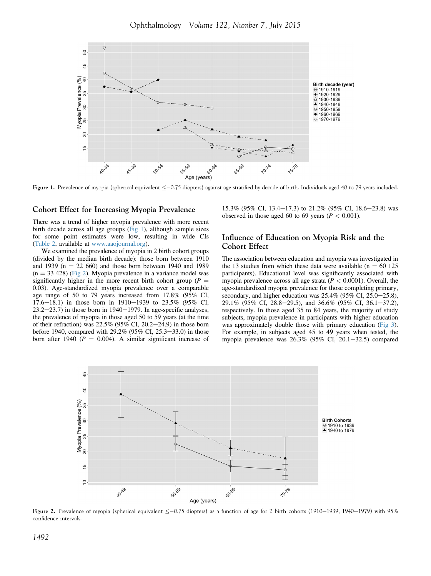<span id="page-3-0"></span>

Figure 1. Prevalence of myopia (spherical equivalent  $\leq -0.75$  diopters) against age stratified by decade of birth. Individuals aged 40 to 79 years included.

#### Cohort Effect for Increasing Myopia Prevalence

There was a trend of higher myopia prevalence with more recent birth decade across all age groups (Fig 1), although sample sizes for some point estimates were low, resulting in wide CIs (Table 2, available at [www.aaojournal.org](http://www.aaojournal.org)).

We examined the prevalence of myopia in 2 birth cohort groups (divided by the median birth decade): those born between 1910 and 1939 ( $n = 22,660$ ) and those born between 1940 and 1989  $(n = 33 428)$  (Fig 2). Myopia prevalence in a variance model was significantly higher in the more recent birth cohort group ( $P =$ 0.03). Age-standardized myopia prevalence over a comparable age range of 50 to 79 years increased from 17.8% (95% CI, 17.6–18.1) in those born in 1910–1939 to 23.5% (95% CI,  $23.2-23.7$ ) in those born in 1940-1979. In age-specific analyses, the prevalence of myopia in those aged 50 to 59 years (at the time of their refraction) was  $22.5\%$  (95% CI, 20.2–24.9) in those born before 1940, compared with  $29.2\%$  (95% CI, 25.3–33.0) in those born after 1940 ( $P = 0.004$ ). A similar significant increase of

15.3% (95% CI, 13.4–17.3) to 21.2% (95% CI, 18.6–23.8) was observed in those aged 60 to 69 years ( $P < 0.001$ ).

#### Influence of Education on Myopia Risk and the Cohort Effect

The association between education and myopia was investigated in the 13 studies from which these data were available ( $n = 60$  125 participants). Educational level was significantly associated with myopia prevalence across all age strata ( $P < 0.0001$ ). Overall, the age-standardized myopia prevalence for those completing primary, secondary, and higher education was  $25.4\%$  (95% CI, 25.0–25.8), 29.1% (95% CI, 28.8–29.5), and 36.6% (95% CI, 36.1–37.2), respectively. In those aged 35 to 84 years, the majority of study subjects, myopia prevalence in participants with higher education was approximately double those with primary education ([Fig 3](#page-4-0)). For example, in subjects aged 45 to 49 years when tested, the myopia prevalence was  $26.3\%$  (95% CI, 20.1-32.5) compared



Figure 2. Prevalence of myopia (spherical equivalent  $\leq -0.75$  diopters) as a function of age for 2 birth cohorts (1910–1939, 1940–1979) with 95% confidence intervals.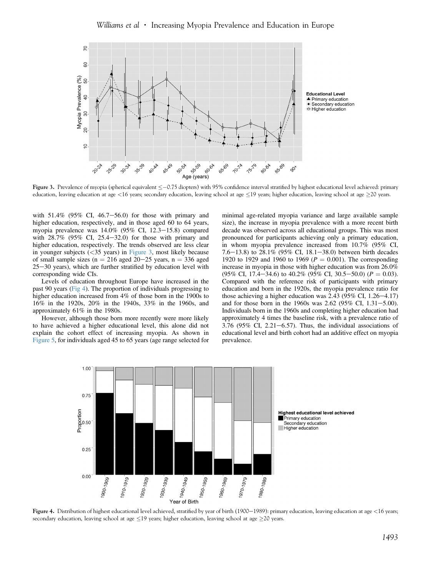#### Williams et al  $\cdot$  Increasing Myopia Prevalence and Education in Europe

<span id="page-4-0"></span>

Figure 3. Prevalence of myopia (spherical equivalent  $\leq -0.75$  diopters) with 95% confidence interval stratified by highest educational level achieved: primary education, leaving education at age <16 years; secondary education, leaving school at age  $\leq$ 19 years; higher education, leaving school at age  $\geq$ 20 years.

with  $51.4\%$  (95% CI, 46.7–56.0) for those with primary and higher education, respectively, and in those aged 60 to 64 years, myopia prevalence was  $14.0\%$  (95% CI, 12.3-15.8) compared with  $28.7\%$  (95\% CI, 25.4-32.0) for those with primary and higher education, respectively. The trends observed are less clear in younger subjects  $( $35$  years) in Figure 3, most likely because$ of small sample sizes ( $n = 216$  aged  $20-25$  years,  $n = 336$  aged  $25-30$  years), which are further stratified by education level with corresponding wide CIs.

Levels of education throughout Europe have increased in the past 90 years (Fig 4). The proportion of individuals progressing to higher education increased from 4% of those born in the 1900s to 16% in the 1920s, 20% in the 1940s, 33% in the 1960s, and approximately 61% in the 1980s.

However, although those born more recently were more likely to have achieved a higher educational level, this alone did not explain the cohort effect of increasing myopia. As shown in [Figure 5](#page-5-0), for individuals aged 45 to 65 years (age range selected for minimal age-related myopia variance and large available sample size), the increase in myopia prevalence with a more recent birth decade was observed across all educational groups. This was most pronounced for participants achieving only a primary education, in whom myopia prevalence increased from 10.7% (95% CI, 7.6-13.8) to 28.1% (95% CI, 18.1-38.0) between birth decades 1920 to 1929 and 1960 to 1969 ( $P = 0.001$ ). The corresponding increase in myopia in those with higher education was from 26.0%  $(95\% \text{ CI}, 17.4-34.6)$  to  $40.2\%$   $(95\% \text{ CI}, 30.5-50.0)$   $(P = 0.03)$ . Compared with the reference risk of participants with primary education and born in the 1920s, the myopia prevalence ratio for those achieving a higher education was  $2.43$  (95% CI, 1.26-4.17) and for those born in the 1960s was  $2.62$  (95% CI,  $1.31 - 5.00$ ). Individuals born in the 1960s and completing higher education had approximately 4 times the baseline risk, with a prevalence ratio of  $3.76$  (95% CI,  $2.21-6.57$ ). Thus, the individual associations of educational level and birth cohort had an additive effect on myopia prevalence.



Figure 4. Distribution of highest educational level achieved, stratified by year of birth (1900-1989): primary education, leaving education at age <16 years; secondary education, leaving school at age <19 years; higher education, leaving school at age >20 years.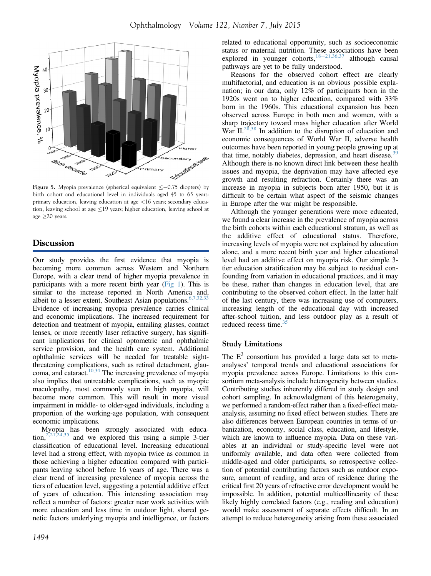<span id="page-5-0"></span>

Figure 5. Myopia prevalence (spherical equivalent  $\leq -0.75$  diopters) by birth cohort and educational level in individuals aged 45 to 65 years: primary education, leaving education at age <16 years; secondary education, leaving school at age  $\leq$ 19 years; higher education, leaving school at age  $\geq$  20 years.

## **Discussion**

Our study provides the first evidence that myopia is becoming more common across Western and Northern Europe, with a clear trend of higher myopia prevalence in participants with a more recent birth year [\(Fig 1](#page-3-0)). This is similar to the increase reported in North America and, albeit to a lesser extent, Southeast Asian populations.  $6,7,32,33$ Evidence of increasing myopia prevalence carries clinical and economic implications. The increased requirement for detection and treatment of myopia, entailing glasses, contact lenses, or more recently laser refractive surgery, has significant implications for clinical optometric and ophthalmic service provision, and the health care system. Additional ophthalmic services will be needed for treatable sightthreatening complications, such as retinal detachment, glau-coma, and cataract.<sup>[10,34](#page-7-0)</sup> The increasing prevalence of myopia also implies that untreatable complications, such as myopic maculopathy, most commonly seen in high myopia, will become more common. This will result in more visual impairment in middle- to older-aged individuals, including a proportion of the working-age population, with consequent economic implications.

Myopia has been strongly associated with education,  $2,21,24,35$  and we explored this using a simple 3-tier classification of educational level. Increasing educational level had a strong effect, with myopia twice as common in those achieving a higher education compared with participants leaving school before 16 years of age. There was a clear trend of increasing prevalence of myopia across the tiers of education level, suggesting a potential additive effect of years of education. This interesting association may reflect a number of factors: greater near work activities with more education and less time in outdoor light, shared genetic factors underlying myopia and intelligence, or factors

related to educational opportunity, such as socioeconomic status or maternal nutrition. These associations have been explored in younger cohorts, $18-21,36,37$  $18-21,36,37$  $18-21,36,37$  although causal pathways are yet to be fully understood.

Reasons for the observed cohort effect are clearly multifactorial, and education is an obvious possible explanation; in our data, only 12% of participants born in the 1920s went on to higher education, compared with 33% born in the 1960s. This educational expansion has been observed across Europe in both men and women, with a sharp trajectory toward mass higher education after World War II.<sup>28,38</sup> In addition to the disruption of education and economic consequences of World War II, adverse health outcomes have been reported in young people growing up at that time, notably diabetes, depression, and heart disease.<sup>[39](#page-8-0)</sup> Although there is no known direct link between these health issues and myopia, the deprivation may have affected eye growth and resulting refraction. Certainly there was an increase in myopia in subjects born after 1950, but it is difficult to be certain what aspect of the seismic changes in Europe after the war might be responsible.

Although the younger generations were more educated, we found a clear increase in the prevalence of myopia across the birth cohorts within each educational stratum, as well as the additive effect of educational status. Therefore, increasing levels of myopia were not explained by education alone, and a more recent birth year and higher educational level had an additive effect on myopia risk. Our simple 3 tier education stratification may be subject to residual confounding from variation in educational practices, and it may be these, rather than changes in education level, that are contributing to the observed cohort effect. In the latter half of the last century, there was increasing use of computers, increasing length of the educational day with increased after-school tuition, and less outdoor play as a result of reduced recess time. $35$ 

## Study Limitations

The  $E<sup>3</sup>$  consortium has provided a large data set to metaanalyses' temporal trends and educational associations for myopia prevalence across Europe. Limitations to this consortium meta-analysis include heterogeneity between studies. Contributing studies inherently differed in study design and cohort sampling. In acknowledgment of this heterogeneity, we performed a random-effect rather than a fixed-effect metaanalysis, assuming no fixed effect between studies. There are also differences between European countries in terms of urbanization, economy, social class, education, and lifestyle, which are known to influence myopia. Data on these variables at an individual or study-specific level were not uniformly available, and data often were collected from middle-aged and older participants, so retrospective collection of potential contributing factors such as outdoor exposure, amount of reading, and area of residence during the critical first 20 years of refractive error development would be impossible. In addition, potential multicollinearity of these likely highly correlated factors (e.g., reading and education) would make assessment of separate effects difficult. In an attempt to reduce heterogeneity arising from these associated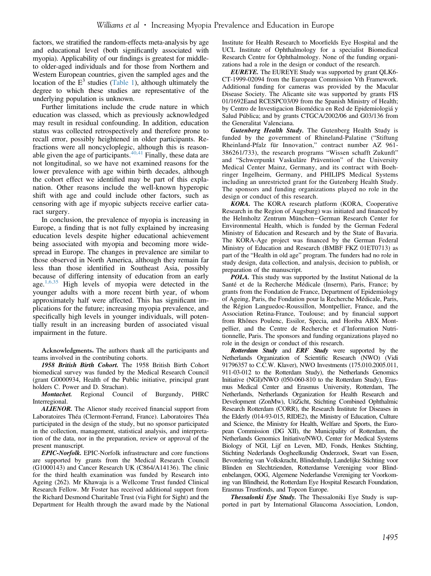factors, we stratified the random-effects meta-analysis by age and educational level (both significantly associated with myopia). Applicability of our findings is greatest for middleto older-aged individuals and for those from Northern and Western European countries, given the sampled ages and the location of the  $E<sup>3</sup>$  studies [\(Table 1\)](#page-2-0), although ultimately the degree to which these studies are representative of the underlying population is unknown.

Further limitations include the crude nature in which education was classed, which as previously acknowledged may result in residual confounding. In addition, education status was collected retrospectively and therefore prone to recall error, possibly heightened in older participants. Refractions were all noncycloplegic, although this is reasonable given the age of participants. $40,41$  Finally, these data are not longitudinal, so we have not examined reasons for the lower prevalence with age within birth decades, although the cohort effect we identified may be part of this explanation. Other reasons include the well-known hyperopic shift with age and could include other factors, such as censoring with age if myopic subjects receive earlier cataract surgery.

In conclusion, the prevalence of myopia is increasing in Europe, a finding that is not fully explained by increasing education levels despite higher educational achievement being associated with myopia and becoming more widespread in Europe. The changes in prevalence are similar to those observed in North America, although they remain far less than those identified in Southeast Asia, possibly because of differing intensity of education from an early age. $1,6,35$  High levels of myopia were detected in the younger adults with a more recent birth year, of whom approximately half were affected. This has significant implications for the future; increasing myopia prevalence, and specifically high levels in younger individuals, will potentially result in an increasing burden of associated visual impairment in the future.

Acknowledgments. The authors thank all the participants and teams involved in the contributing cohorts.

1958 British Birth Cohort. The 1958 British Birth Cohort biomedical survey was funded by the Medical Research Council (grant G0000934, Health of the Public initiative, principal grant holders C. Power and D. Strachan).

Montachet. Regional Council of Burgundy, PHRC Interregional.

**ALIENOR.** The Alienor study received financial support from Laboratoires Théa (Clermont-Ferrand, France). Laboratoires Théa participated in the design of the study, but no sponsor participated in the collection, management, statistical analysis, and interpretation of the data, nor in the preparation, review or approval of the present manuscript.

EPIC-Norfolk. EPIC-Norfolk infrastructure and core functions are supported by grants from the Medical Research Council (G1000143) and Cancer Research UK (C864/A14136). The clinic for the third health examination was funded by Research into Ageing (262). Mr Khawaja is a Wellcome Trust funded Clinical Research Fellow. Mr Foster has received additional support from the Richard Desmond Charitable Trust (via Fight for Sight) and the Department for Health through the award made by the National

Institute for Health Research to Moorfields Eye Hospital and the UCL Institute of Ophthalmology for a specialist Biomedical Research Centre for Ophthalmology. None of the funding organizations had a role in the design or conduct of the research.

EUREYE. The EUREYE Study was supported by grant QLK6- CT-1999-02094 from the European Commission Vth Framework. Additional funding for cameras was provided by the Macular Disease Society. The Alicante site was supported by grants FIS 01/1692Eand RCESPC03/09 from the Spanish Ministry of Health; by Centro de Investigacion Biomédica en Red de Epidemiologiá y Salud Pública; and by grants CTGCA/2002/06 and G03/136 from the Generalitat Valenciana.

Gutenberg Health Study. The Gutenberg Health Study is funded by the government of Rhineland-Palatine ("Stiftung Rheinland-Pfalz für Innovation," contract number AZ 961- 386261/733), the research programs "Wissen schafft Zukunft" and "Schwerpunkt Vaskuläre Prävention" of the University Medical Center Mainz, Germany, and its contract with Boehringer Ingelheim, Germany, and PHILIPS Medical Systems including an unrestricted grant for the Gutenberg Health Study. The sponsors and funding organizations played no role in the design or conduct of this research.

KORA. The KORA research platform (KORA, Cooperative Research in the Region of Augsburg) was initiated and financed by the Helmholtz Zentrum München-German Research Center for Environmental Health, which is funded by the German Federal Ministry of Education and Research and by the State of Bavaria. The KORA-Age project was financed by the German Federal Ministry of Education and Research (BMBF FKZ 01ET0713) as part of the "Health in old age" program. The funders had no role in study design, data collection, and analysis, decision to publish, or preparation of the manuscript.

POLA. This study was supported by the Institut National de la Santé et de la Recherche Médicale (Inserm), Paris, France; by grants from the Fondation de France, Department of Epidemiology of Ageing, Paris, the Fondation pour la Recherche Médicale, Paris, the Région Languedoc-Roussillon, Montpellier, France, and the Association Retina-France, Toulouse; and by financial support from Rhônes Poulenc, Essilor, Specia, and Horiba ABX Montpellier, and the Centre de Recherche et d'Information Nutritionnelle, Paris. The sponsors and funding organizations played no role in the design or conduct of this research.

Rotterdam Study and ERF Study were supported by the Netherlands Organization of Scientific Research (NWO) (Vidi 91796357 to C.C.W. Klaver), NWO Investments (175.010.2005.011, 911-03-012 to the Rotterdam Study), the Netherlands Genomics Initiative (NGI)/NWO (050-060-810 to the Rotterdam Study), Erasmus Medical Center and Erasmus University, Rotterdam, The Netherlands, Netherlands Organization for Health Research and Development (ZonMw), UitZicht, Stichting Combined Ophthalmic Research Rotterdam (CORR), the Research Institute for Diseases in the Elderly (014-93-015, RIDE2), the Ministry of Education, Culture and Science, the Ministry for Health, Welfare and Sports, the European Commission (DG XII), the Municipality of Rotterdam, the Netherlands Genomics Initiative/NWO, Center for Medical Systems Biology of NGI, Lijf en Leven, MD, Fonds, Henkes Stichting, Stichting Nederlands Oogheelkundig Onderzoek, Swart van Essen, Bevordering van Volkskracht, Blindenhulp, Landelijke Stichting voor Blinden en Slechtzienden, Rotterdamse Vereniging voor Blindenbelangen, OOG, Algemene Nederlandse Vereniging ter Voorkoming van Blindheid, the Rotterdam Eye Hospital Research Foundation, Erasmus Trustfonds, and Topcon Europe.

Thessalonki Eye Study. The Thessaloniki Eye Study is supported in part by International Glaucoma Association, London,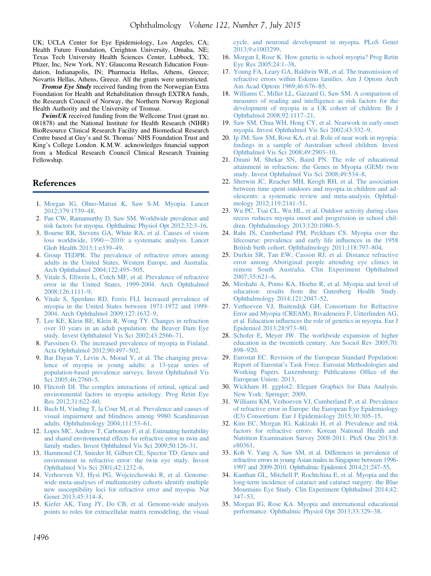<span id="page-7-0"></span>UK; UCLA Center for Eye Epidemiology, Los Angeles, CA; Health Future Foundation, Creighton University, Omaha, NE; Texas Tech University Health Sciences Center, Lubbock, TX; Pfizer, Inc, New York, NY; Glaucoma Research Education Foundation, Indianapolis, IN; Pharmacia Hellas, Athens, Greece; Novartis Hellas, Athens, Greece. All the grants were unrestricted.

Tromsø Eye Study received funding from the Norwegian Extra Foundation for Health and Rehabilitation through EXTRA funds, the Research Council of Norway, the Northern Norway Regional Health Authority and the University of Tromsø.

**TwinsUK** received funding from the Wellcome Trust (grant no. 081878) and the National Institute for Health Research (NIHR) BioResource Clinical Research Facility and Biomedical Research Centre based at Guy's and St. Thomas' NHS Foundation Trust and King's College London. K.M.W. acknowledges financial support from a Medical Research Council Clinical Research Training Fellowship.

## References

- 1. [Morgan IG, Ohno-Matsui K, Saw S-M. Myopia. Lancet](http://refhub.elsevier.com/S0161-6420(15)00280-8/sref1) [2012;379:1739](http://refhub.elsevier.com/S0161-6420(15)00280-8/sref1)–48.
- 2. [Pan CW, Ramamurthy D, Saw SM. Worldwide prevalence and](http://refhub.elsevier.com/S0161-6420(15)00280-8/sref2) [risk factors for myopia. Ophthalmic Physiol Opt 2012;32:3](http://refhub.elsevier.com/S0161-6420(15)00280-8/sref2)–16.
- 3. [Bourne RR, Stevens GA, White RA, et al. Causes of vision](http://refhub.elsevier.com/S0161-6420(15)00280-8/sref3) [loss worldwide, 1990](http://refhub.elsevier.com/S0161-6420(15)00280-8/sref3)-[2010: a systematic analysis. Lancet](http://refhub.elsevier.com/S0161-6420(15)00280-8/sref3) [Glob Health 2013;1:e339](http://refhub.elsevier.com/S0161-6420(15)00280-8/sref3)–49.
- 4. [Group TEDPR. The prevalence of refractive errors among](http://refhub.elsevier.com/S0161-6420(15)00280-8/sref4) [adults in the United States, Western Europe, and Australia.](http://refhub.elsevier.com/S0161-6420(15)00280-8/sref4) [Arch Ophthalmol 2004;122:495](http://refhub.elsevier.com/S0161-6420(15)00280-8/sref4)–505.
- 5. [Vitale S, Ellwein L, Cotch MF, et al. Prevalence of refractive](http://refhub.elsevier.com/S0161-6420(15)00280-8/sref5) [error in the United States, 1999-2004. Arch Ophthalmol](http://refhub.elsevier.com/S0161-6420(15)00280-8/sref5) [2008;126:1111](http://refhub.elsevier.com/S0161-6420(15)00280-8/sref5)–9.
- 6. [Vitale S, Sperduto RD, Ferris FLI. Increased prevalence of](http://refhub.elsevier.com/S0161-6420(15)00280-8/sref6) [myopia in the United States between 1971-1972 and 1999-](http://refhub.elsevier.com/S0161-6420(15)00280-8/sref6) [2004. Arch Ophthalmol 2009;127:1632](http://refhub.elsevier.com/S0161-6420(15)00280-8/sref6)–9.
- 7. [Lee KE, Klein BE, Klein R, Wong TY. Changes in refraction](http://refhub.elsevier.com/S0161-6420(15)00280-8/sref7) [over 10 years in an adult population: the Beaver Dam Eye](http://refhub.elsevier.com/S0161-6420(15)00280-8/sref7) [study. Invest Ophthalmol Vis Sci 2002;43:2566](http://refhub.elsevier.com/S0161-6420(15)00280-8/sref7)–71.
- 8. [Parssinen O. The increased prevalence of myopia in Finland.](http://refhub.elsevier.com/S0161-6420(15)00280-8/sref8) [Acta Ophthalmol 2012;90:497](http://refhub.elsevier.com/S0161-6420(15)00280-8/sref8)–502.
- 9. [Bar Dayan Y, Levin A, Morad Y, et al. The changing preva](http://refhub.elsevier.com/S0161-6420(15)00280-8/sref9)[lence of myopia in young adults: a 13-year series of](http://refhub.elsevier.com/S0161-6420(15)00280-8/sref9) [population-based prevalence surveys. Invest Ophthalmol Vis](http://refhub.elsevier.com/S0161-6420(15)00280-8/sref9) [Sci 2005;46:2760](http://refhub.elsevier.com/S0161-6420(15)00280-8/sref9)–5.
- 10. [Flitcroft DI. The complex interactions of retinal, optical and](http://refhub.elsevier.com/S0161-6420(15)00280-8/sref10) [environmental factors in myopia aetiology. Prog Retin Eye](http://refhub.elsevier.com/S0161-6420(15)00280-8/sref10) [Res 2012;31:622](http://refhub.elsevier.com/S0161-6420(15)00280-8/sref10)–60.
- 11. [Buch H, Vinding T, la Cour M, et al. Prevalence and causes of](http://refhub.elsevier.com/S0161-6420(15)00280-8/sref11) [visual impairment and blindness among 9980 Scandinavian](http://refhub.elsevier.com/S0161-6420(15)00280-8/sref11) [adults. Ophthalmology 2004;111:53](http://refhub.elsevier.com/S0161-6420(15)00280-8/sref11)–61.
- 12. [Lopes MC, Andrew T, Carbonaro F, et al. Estimating heritability](http://refhub.elsevier.com/S0161-6420(15)00280-8/sref12) [and shared environmental effects for refractive error in twin and](http://refhub.elsevier.com/S0161-6420(15)00280-8/sref12) [family studies. Invest Ophthalmol Vis Sci 2009;50:126](http://refhub.elsevier.com/S0161-6420(15)00280-8/sref12)–31.
- 13. [Hammond CJ, Snieder H, Gilbert CE, Spector TD. Genes and](http://refhub.elsevier.com/S0161-6420(15)00280-8/sref13) [environment in refractive error: the twin eye study. Invest](http://refhub.elsevier.com/S0161-6420(15)00280-8/sref13) [Ophthalmol Vis Sci 2001;42:1232](http://refhub.elsevier.com/S0161-6420(15)00280-8/sref13)–6.
- 14. [Verhoeven VJ, Hysi PG, Wojciechowski R, et al. Genome](http://refhub.elsevier.com/S0161-6420(15)00280-8/sref14)[wide meta-analyses of multiancestry cohorts identify multiple](http://refhub.elsevier.com/S0161-6420(15)00280-8/sref14) [new susceptibility loci for refractive error and myopia. Nat](http://refhub.elsevier.com/S0161-6420(15)00280-8/sref14) [Genet 2013;45:314](http://refhub.elsevier.com/S0161-6420(15)00280-8/sref14)–8.
- 15. [Kiefer AK, Tung JY, Do CB, et al. Genome-wide analysis](http://refhub.elsevier.com/S0161-6420(15)00280-8/sref15) [points to roles for extracellular matrix remodeling, the visual](http://refhub.elsevier.com/S0161-6420(15)00280-8/sref15)

[cycle, and neuronal development in myopia. PLoS Genet](http://refhub.elsevier.com/S0161-6420(15)00280-8/sref15) [2013;9:e1003299.](http://refhub.elsevier.com/S0161-6420(15)00280-8/sref15)

- 16. [Morgan I, Rose K. How genetic is school myopia? Prog Retin](http://refhub.elsevier.com/S0161-6420(15)00280-8/sref16) [Eye Res 2005;24:1](http://refhub.elsevier.com/S0161-6420(15)00280-8/sref16)–38.
- 17. [Young FA, Leary GA, Baldwin WR, et al. The transmission of](http://refhub.elsevier.com/S0161-6420(15)00280-8/sref17) [refractive errors within Eskimo families. Am J Optom Arch](http://refhub.elsevier.com/S0161-6420(15)00280-8/sref17) [Am Acad Optom 1969;46:676](http://refhub.elsevier.com/S0161-6420(15)00280-8/sref17)–85.
- 18. [Williams C, Miller LL, Gazzard G, Saw SM. A comparison of](http://refhub.elsevier.com/S0161-6420(15)00280-8/sref18) [measures of reading and intelligence as risk factors for the](http://refhub.elsevier.com/S0161-6420(15)00280-8/sref18) [development of myopia in a UK cohort of children. Br J](http://refhub.elsevier.com/S0161-6420(15)00280-8/sref18) [Ophthalmol 2008;92:1117](http://refhub.elsevier.com/S0161-6420(15)00280-8/sref18)–21.
- 19. [Saw SM, Chua WH, Hong CY, et al. Nearwork in early-onset](http://refhub.elsevier.com/S0161-6420(15)00280-8/sref19) [myopia. Invest Ophthalmol Vis Sci 2002;43:332](http://refhub.elsevier.com/S0161-6420(15)00280-8/sref19)–9.
- 20. [Ip JM, Saw SM, Rose KA, et al. Role of near work in myopia:](http://refhub.elsevier.com/S0161-6420(15)00280-8/sref20) fi[ndings in a sample of Australian school children. Invest](http://refhub.elsevier.com/S0161-6420(15)00280-8/sref20) [Ophthalmol Vis Sci 2008;49:2903](http://refhub.elsevier.com/S0161-6420(15)00280-8/sref20)–10.
- 21. [Dirani M, Shekar SN, Baird PN. The role of educational](http://refhub.elsevier.com/S0161-6420(15)00280-8/sref21) [attainment in refraction: the Genes in Myopia \(GEM\) twin](http://refhub.elsevier.com/S0161-6420(15)00280-8/sref21) [study. Invest Ophthalmol Vis Sci 2008;49:534](http://refhub.elsevier.com/S0161-6420(15)00280-8/sref21)–8.
- 22. [Sherwin JC, Reacher MH, Keogh RH, et al. The association](http://refhub.elsevier.com/S0161-6420(15)00280-8/sref22) [between time spent outdoors and myopia in children and ad](http://refhub.elsevier.com/S0161-6420(15)00280-8/sref22)[olescents: a systematic review and meta-analysis. Ophthal](http://refhub.elsevier.com/S0161-6420(15)00280-8/sref22)[mology 2012;119:2141](http://refhub.elsevier.com/S0161-6420(15)00280-8/sref22)–51.
- 23. [Wu PC, Tsai CL, Wu HL, et al. Outdoor activity during class](http://refhub.elsevier.com/S0161-6420(15)00280-8/sref23) [recess reduces myopia onset and progression in school chil](http://refhub.elsevier.com/S0161-6420(15)00280-8/sref23)[dren. Ophthalmology 2013;120:1080](http://refhub.elsevier.com/S0161-6420(15)00280-8/sref23)–5.
- 24. [Rahi JS, Cumberland PM, Peckham CS. Myopia over the](http://refhub.elsevier.com/S0161-6420(15)00280-8/sref24) [lifecourse: prevalence and early life in](http://refhub.elsevier.com/S0161-6420(15)00280-8/sref24)fluences in the 1958 [British birth cohort. Ophthalmology 2011;118:797](http://refhub.elsevier.com/S0161-6420(15)00280-8/sref24)–804.
- 25. [Durkin SR, Tan EW, Casson RJ, et al. Distance refractive](http://refhub.elsevier.com/S0161-6420(15)00280-8/sref25) [error among Aboriginal people attending eye clinics in](http://refhub.elsevier.com/S0161-6420(15)00280-8/sref25) [remote South Australia. Clin Experiment Ophthalmol](http://refhub.elsevier.com/S0161-6420(15)00280-8/sref25) [2007;35:621](http://refhub.elsevier.com/S0161-6420(15)00280-8/sref25)–6.
- 26. [Mirshahi A, Ponto KA, Hoehn R, et al. Myopia and level of](http://refhub.elsevier.com/S0161-6420(15)00280-8/sref26) [education: results from the Gutenberg Health Study.](http://refhub.elsevier.com/S0161-6420(15)00280-8/sref26) [Ophthalmology 2014;121:2047](http://refhub.elsevier.com/S0161-6420(15)00280-8/sref26)–52.
- 27. [Verhoeven VJ, Buitendijk GH, Consortium for Refractive](http://refhub.elsevier.com/S0161-6420(15)00280-8/sref27) [Error and Myopia \(CREAM\), Rivadeneira F, Uitterlinden AG,](http://refhub.elsevier.com/S0161-6420(15)00280-8/sref27) et al. Education infl[uences the role of genetics in myopia. Eur J](http://refhub.elsevier.com/S0161-6420(15)00280-8/sref27) [Epidemiol 2013;28:973](http://refhub.elsevier.com/S0161-6420(15)00280-8/sref27)–80.
- 28. [Schofer E, Meyer JW. The worldwide expansion of higher](http://refhub.elsevier.com/S0161-6420(15)00280-8/sref28) [education in the twentieth century. Am Sociol Rev 2005;70:](http://refhub.elsevier.com/S0161-6420(15)00280-8/sref28) [898](http://refhub.elsevier.com/S0161-6420(15)00280-8/sref28)–920.
- 29. [Eurostat EC. Revision of the European Standard Population:](http://refhub.elsevier.com/S0161-6420(15)00280-8/sref29) Report of Eurostat'[s Task Force. Eurostat Methodologies and](http://refhub.elsevier.com/S0161-6420(15)00280-8/sref29) [Working Papers. Luxembourg: Publications Of](http://refhub.elsevier.com/S0161-6420(15)00280-8/sref29)fice of the [European Union; 2013.](http://refhub.elsevier.com/S0161-6420(15)00280-8/sref29)
- 30. [Wickham H. ggplot2: Elegant Graphics for Data Analysis.](http://refhub.elsevier.com/S0161-6420(15)00280-8/sref30) [New York: Springer; 2009](http://refhub.elsevier.com/S0161-6420(15)00280-8/sref30).
- 31. [Williams KM, Verhoeven VJ, Cumberland P, et al. Prevalence](http://refhub.elsevier.com/S0161-6420(15)00280-8/sref41) [of refractive error in Europe: the European Eye Epidemiology](http://refhub.elsevier.com/S0161-6420(15)00280-8/sref41) [\(E3\) Consortium. Eur J Epidemiology 2015;30:305](http://refhub.elsevier.com/S0161-6420(15)00280-8/sref41)–15.
- 32. [Kim EC, Morgan IG, Kakizaki H, et al. Prevalence and risk](http://refhub.elsevier.com/S0161-6420(15)00280-8/sref31) [factors for refractive errors: Korean National Health and](http://refhub.elsevier.com/S0161-6420(15)00280-8/sref31) [Nutrition Examination Survey 2008-2011. PloS One 2013;8:](http://refhub.elsevier.com/S0161-6420(15)00280-8/sref31) [e80361](http://refhub.elsevier.com/S0161-6420(15)00280-8/sref31).
- 33. [Koh V, Yang A, Saw SM, et al. Differences in prevalence of](http://refhub.elsevier.com/S0161-6420(15)00280-8/sref32) [refractive errors in young Asian males in Singapore between 1996-](http://refhub.elsevier.com/S0161-6420(15)00280-8/sref32) [1997 and 2009-2010. Ophthalmic Epidemiol 2014;21:247](http://refhub.elsevier.com/S0161-6420(15)00280-8/sref32)–55.
- 34. [Kanthan GL, Mitchell P, Rochtchina E, et al. Myopia and the](http://refhub.elsevier.com/S0161-6420(15)00280-8/sref33) [long-term incidence of cataract and cataract surgery: the Blue](http://refhub.elsevier.com/S0161-6420(15)00280-8/sref33) [Mountains Eye Study. Clin Experiment Ophthalmol 2014;42:](http://refhub.elsevier.com/S0161-6420(15)00280-8/sref33) [347](http://refhub.elsevier.com/S0161-6420(15)00280-8/sref33)–53.
- 35. [Morgan IG, Rose KA. Myopia and international educational](http://refhub.elsevier.com/S0161-6420(15)00280-8/sref34) [performance. Ophthalmic Physiol Opt 2013;33:329](http://refhub.elsevier.com/S0161-6420(15)00280-8/sref34)–38.